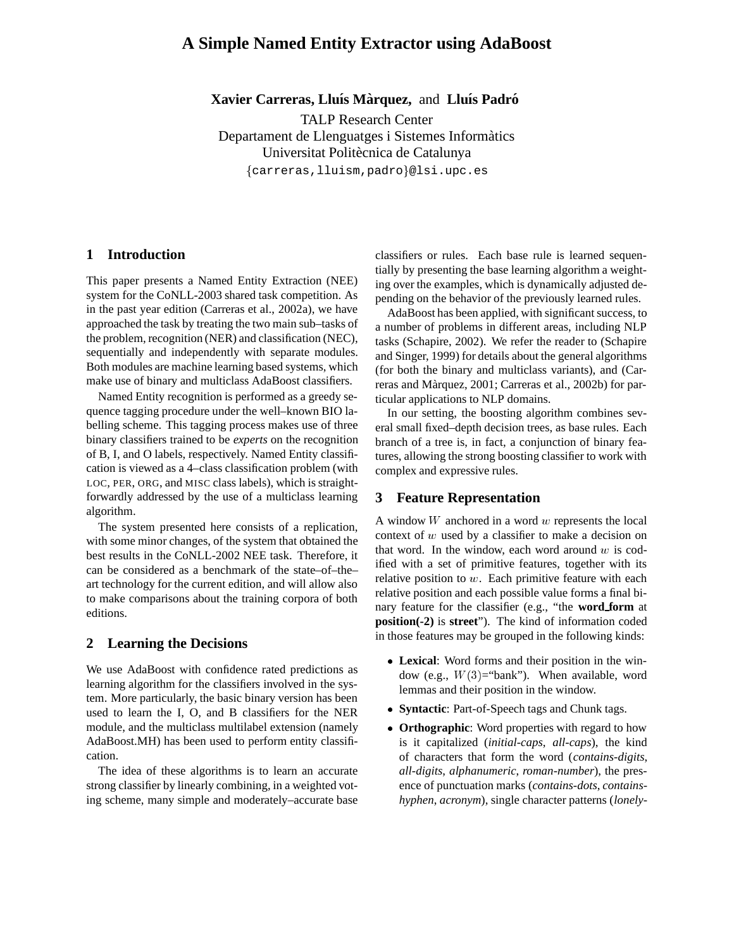# **A Simple Named Entity Extractor using AdaBoost**

**Xavier Carreras, Llu´ıs Marquez, `** and **Llu´ıs Padro´**

TALP Research Center Departament de Llenguatges i Sistemes Informàtics Universitat Politècnica de Catalunya {carreras,lluism,padro}@lsi.upc.es

## **1 Introduction**

This paper presents a Named Entity Extraction (NEE) system for the CoNLL-2003 shared task competition. As in the past year edition (Carreras et al., 2002a), we have approached the task by treating the two main sub–tasks of the problem, recognition (NER) and classification (NEC), sequentially and independently with separate modules. Both modules are machine learning based systems, which make use of binary and multiclass AdaBoost classifiers.

Named Entity recognition is performed as a greedy sequence tagging procedure under the well–known BIO labelling scheme. This tagging process makes use of three binary classifiers trained to be *experts* on the recognition of B, I, and O labels, respectively. Named Entity classification is viewed as a 4–class classification problem (with LOC, PER, ORG, and MISC class labels), which is straightforwardly addressed by the use of a multiclass learning algorithm.

The system presented here consists of a replication, with some minor changes, of the system that obtained the best results in the CoNLL-2002 NEE task. Therefore, it can be considered as a benchmark of the state–of–the– art technology for the current edition, and will allow also to make comparisons about the training corpora of both editions.

#### **2 Learning the Decisions**

We use AdaBoost with confidence rated predictions as learning algorithm for the classifiers involved in the system. More particularly, the basic binary version has been used to learn the I, O, and B classifiers for the NER module, and the multiclass multilabel extension (namely AdaBoost.MH) has been used to perform entity classification.

The idea of these algorithms is to learn an accurate strong classifier by linearly combining, in a weighted voting scheme, many simple and moderately–accurate base classifiers or rules. Each base rule is learned sequentially by presenting the base learning algorithm a weighting over the examples, which is dynamically adjusted depending on the behavior of the previously learned rules.

AdaBoost has been applied, with significant success, to a number of problems in different areas, including NLP tasks (Schapire, 2002). We refer the reader to (Schapire and Singer, 1999) for details about the general algorithms (for both the binary and multiclass variants), and (Carreras and Màrquez, 2001; Carreras et al., 2002b) for particular applications to NLP domains.

In our setting, the boosting algorithm combines several small fixed–depth decision trees, as base rules. Each branch of a tree is, in fact, a conjunction of binary features, allowing the strong boosting classifier to work with complex and expressive rules.

#### **3 Feature Representation**

A window  $W$  anchored in a word  $w$  represents the local context of <sup>w</sup> used by a classifier to make a decision on that word. In the window, each word around  $w$  is codified with a set of primitive features, together with its relative position to  $w$ . Each primitive feature with each relative position and each possible value forms a final binary feature for the classifier (e.g., "the **word form** at **position(-2)** is **street**"). The kind of information coded in those features may be grouped in the following kinds:

- **Lexical**: Word forms and their position in the window (e.g.,  $W(3)$ = "bank"). When available, word lemmas and their position in the window.
- **Syntactic**: Part-of-Speech tags and Chunk tags.
- **Orthographic**: Word properties with regard to how is it capitalized (*initial-caps*, *all-caps*), the kind of characters that form the word (*contains-digits*, *all-digits*, *alphanumeric*, *roman-number*), the presence of punctuation marks (*contains-dots*, *containshyphen*, *acronym*), single character patterns (*lonely-*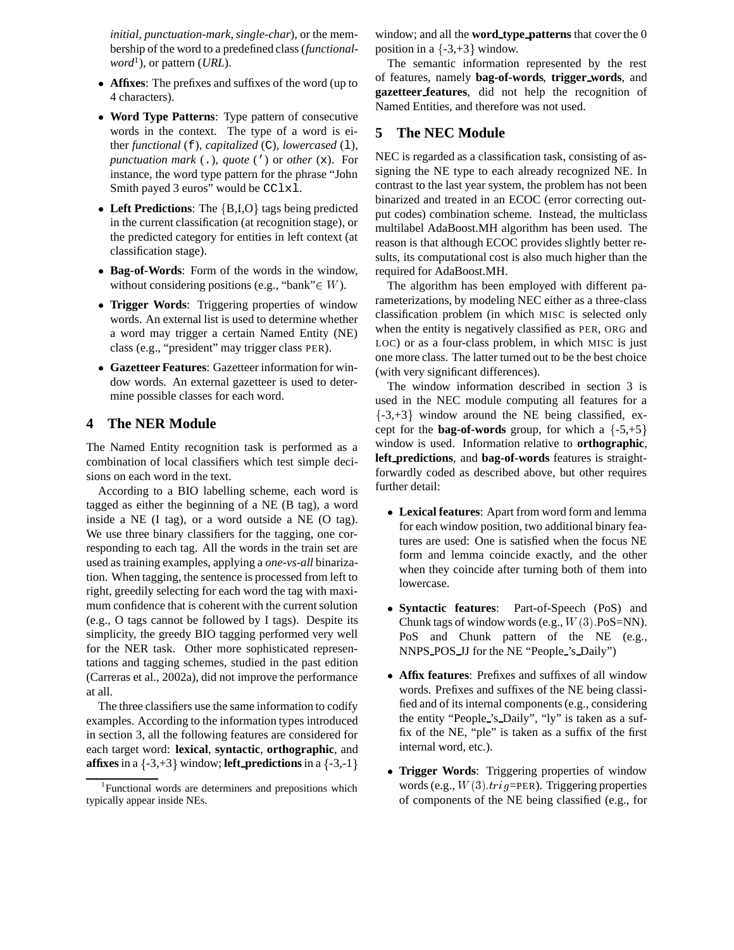*initial*, *punctuation-mark*,*single-char*), or the membership of the word to a predefined class (*functionalword*<sup>1</sup> ), or pattern (*URL*).

- **Affixes**: The prefixes and suffixes of the word (up to 4 characters).
- **Word Type Patterns**: Type pattern of consecutive words in the context. The type of a word is either *functional* (f), *capitalized* (C), *lowercased* (1), *punctuation mark* (.), *quote* (') or *other* (x). For instance, the word type pattern for the phrase "John Smith payed 3 euros" would be CClxl.
- Left Predictions: The {B,I,O} tags being predicted in the current classification (at recognition stage), or the predicted category for entities in left context (at classification stage).
- **Bag-of-Words**: Form of the words in the window, without considering positions (e.g., "bank" $\in W$ ).
- **Trigger Words**: Triggering properties of window words. An external list is used to determine whether a word may trigger a certain Named Entity (NE) class (e.g., "president" may trigger class PER).
- **Gazetteer Features**: Gazetteer information for window words. An external gazetteer is used to determine possible classes for each word.

## **4 The NER Module**

The Named Entity recognition task is performed as a combination of local classifiers which test simple decisions on each word in the text.

According to a BIO labelling scheme, each word is tagged as either the beginning of a NE (B tag), a word inside a NE (I tag), or a word outside a NE (O tag). We use three binary classifiers for the tagging, one corresponding to each tag. All the words in the train set are used as training examples, applying a *one-vs-all* binarization. When tagging, the sentence is processed from left to right, greedily selecting for each word the tag with maximum confidence that is coherent with the current solution (e.g., O tags cannot be followed by I tags). Despite its simplicity, the greedy BIO tagging performed very well for the NER task. Other more sophisticated representations and tagging schemes, studied in the past edition (Carreras et al., 2002a), did not improve the performance at all.

The three classifiers use the same information to codify examples. According to the information types introduced in section 3, all the following features are considered for each target word: **lexical**, **syntactic**, **orthographic**, and **affixes** in a  $\{-3, +3\}$  window; **left\_predictions** in a  $\{-3, -1\}$ 

window; and all the **word type patterns** that cover the 0 position in a  $\{-3, +3\}$  window.

The semantic information represented by the rest of features, namely **bag-of-words**, **trigger words**, and **gazetteer features**, did not help the recognition of Named Entities, and therefore was not used.

#### **5 The NEC Module**

NEC is regarded as a classification task, consisting of assigning the NE type to each already recognized NE. In contrast to the last year system, the problem has not been binarized and treated in an ECOC (error correcting output codes) combination scheme. Instead, the multiclass multilabel AdaBoost.MH algorithm has been used. The reason is that although ECOC provides slightly better results, its computational cost is also much higher than the required for AdaBoost.MH.

The algorithm has been employed with different parameterizations, by modeling NEC either as a three-class classification problem (in which MISC is selected only when the entity is negatively classified as PER, ORG and LOC) or as a four-class problem, in which MISC is just one more class. The latter turned out to be the best choice (with very significant differences).

The window information described in section 3 is used in the NEC module computing all features for a  $\{-3,+3\}$  window around the NE being classified, except for the **bag-of-words** group, for which a  $\{-5, +5\}$ window is used. Information relative to **orthographic**, **left predictions**, and **bag-of-words** features is straightforwardly coded as described above, but other requires further detail:

- **Lexical features**: Apart from word form and lemma for each window position, two additional binary features are used: One is satisfied when the focus NE form and lemma coincide exactly, and the other when they coincide after turning both of them into lowercase.
- **Syntactic features**: Part-of-Speech (PoS) and Chunk tags of window words (e.g.,  $W(3)$ ). PoS=NN). PoS and Chunk pattern of the NE (e.g., NNPS POS JJ for the NE "People 's Daily")
- **Affix features**: Prefixes and suffixes of all window words. Prefixes and suffixes of the NE being classified and of its internal components (e.g., considering the entity "People 's Daily", "ly" is taken as a suffix of the NE, "ple" is taken as a suffix of the first internal word, etc.).
- **Trigger Words**: Triggering properties of window words (e.g.,  $W(3)$ . trig=PER). Triggering properties of components of the NE being classified (e.g., for

<sup>&</sup>lt;sup>1</sup>Functional words are determiners and prepositions which typically appear inside NEs.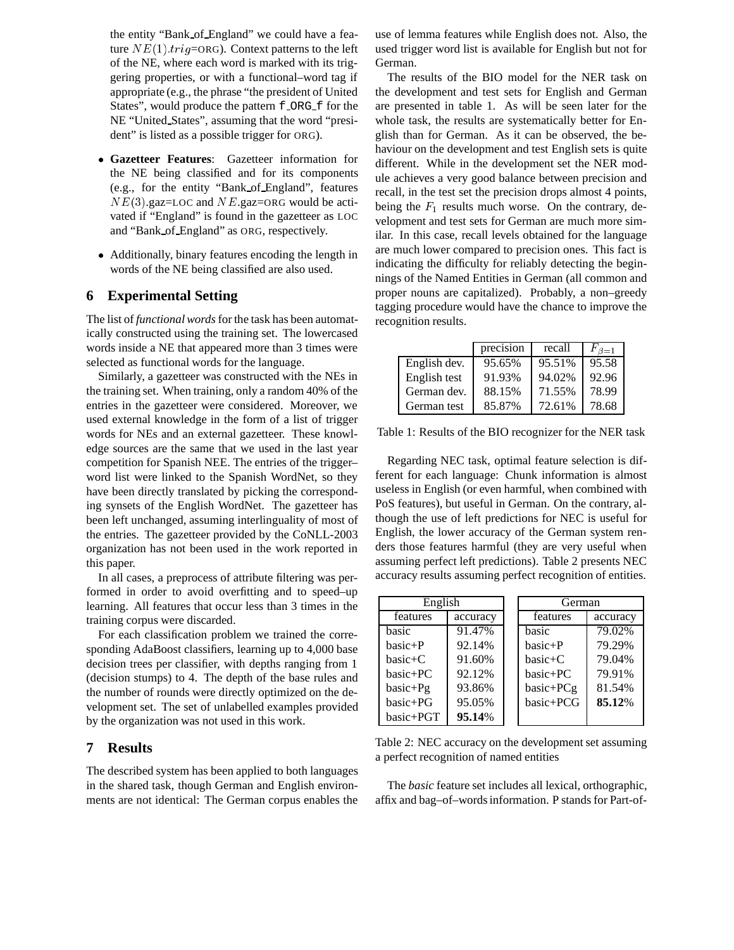the entity "Bank of England" we could have a feature  $NE(1)$ . trig=ORG). Context patterns to the left of the NE, where each word is marked with its triggering properties, or with a functional–word tag if appropriate (e.g., the phrase "the president of United States", would produce the pattern  $f$  ORG f for the NE "United States", assuming that the word "president" is listed as a possible trigger for ORG).

- **Gazetteer Features**: Gazetteer information for the NE being classified and for its components (e.g., for the entity "Bank of England", features  $NE(3)$ .gaz=LOC and  $NE$ .gaz=ORG would be activated if "England" is found in the gazetteer as LOC and "Bank of England" as ORG, respectively.
- Additionally, binary features encoding the length in words of the NE being classified are also used.

## **6 Experimental Setting**

The list of *functional words* for the task has been automatically constructed using the training set. The lowercased words inside a NE that appeared more than 3 times were selected as functional words for the language.

Similarly, a gazetteer was constructed with the NEs in the training set. When training, only a random 40% of the entries in the gazetteer were considered. Moreover, we used external knowledge in the form of a list of trigger words for NEs and an external gazetteer. These knowledge sources are the same that we used in the last year competition for Spanish NEE. The entries of the trigger– word list were linked to the Spanish WordNet, so they have been directly translated by picking the corresponding synsets of the English WordNet. The gazetteer has been left unchanged, assuming interlinguality of most of the entries. The gazetteer provided by the CoNLL-2003 organization has not been used in the work reported in this paper.

In all cases, a preprocess of attribute filtering was performed in order to avoid overfitting and to speed–up learning. All features that occur less than 3 times in the training corpus were discarded.

For each classification problem we trained the corresponding AdaBoost classifiers, learning up to 4,000 base decision trees per classifier, with depths ranging from 1 (decision stumps) to 4. The depth of the base rules and the number of rounds were directly optimized on the development set. The set of unlabelled examples provided by the organization was not used in this work.

#### **7 Results**

The described system has been applied to both languages in the shared task, though German and English environments are not identical: The German corpus enables the use of lemma features while English does not. Also, the used trigger word list is available for English but not for German.

The results of the BIO model for the NER task on the development and test sets for English and German are presented in table 1. As will be seen later for the whole task, the results are systematically better for English than for German. As it can be observed, the behaviour on the development and test English sets is quite different. While in the development set the NER module achieves a very good balance between precision and recall, in the test set the precision drops almost 4 points, being the  $F_1$  results much worse. On the contrary, development and test sets for German are much more similar. In this case, recall levels obtained for the language are much lower compared to precision ones. This fact is indicating the difficulty for reliably detecting the beginnings of the Named Entities in German (all common and proper nouns are capitalized). Probably, a non–greedy tagging procedure would have the chance to improve the recognition results.

|              | precision | recall | $F_{\beta=1}$ |
|--------------|-----------|--------|---------------|
| English dev. | 95.65%    | 95.51% | 95.58         |
| English test | 91.93%    | 94.02% | 92.96         |
| German dev.  | 88.15%    | 71.55% | 78.99         |
| German test  | 85.87%    | 72.61% | 78.68         |

Table 1: Results of the BIO recognizer for the NER task

Regarding NEC task, optimal feature selection is different for each language: Chunk information is almost useless in English (or even harmful, when combined with PoS features), but useful in German. On the contrary, although the use of left predictions for NEC is useful for English, the lower accuracy of the German system renders those features harmful (they are very useful when assuming perfect left predictions). Table 2 presents NEC accuracy results assuming perfect recognition of entities.

| English    |          | German     |          |
|------------|----------|------------|----------|
| features   | accuracy | features   | accuracy |
| basic      | 91.47%   | basic      | 79.02%   |
| $basic+P$  | 92.14%   | $basic+P$  | 79.29%   |
| $basic+C$  | 91.60%   | $basic+C$  | 79.04%   |
| $basic+PC$ | 92.12%   | $basic+PC$ | 79.91%   |
| basic+Pg   | 93.86%   | basic+PCg  | 81.54%   |
| basic+PG   | 95.05%   | basic+PCG  | 85.12%   |
| basic+PGT  | 95.14%   |            |          |

Table 2: NEC accuracy on the development set assuming a perfect recognition of named entities

The *basic* feature set includes all lexical, orthographic, affix and bag–of–words information. P stands for Part-of-